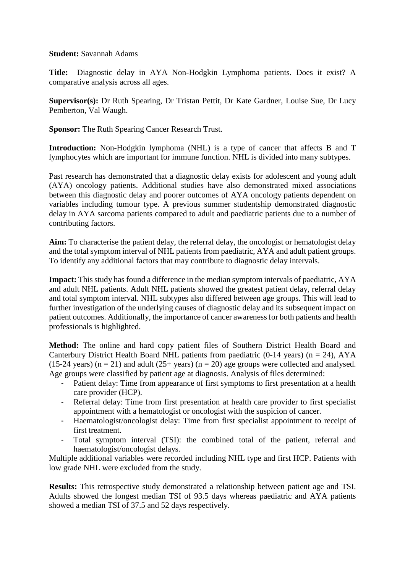## **Student:** Savannah Adams

**Title:** Diagnostic delay in AYA Non-Hodgkin Lymphoma patients. Does it exist? A comparative analysis across all ages.

**Supervisor(s):** Dr Ruth Spearing, Dr Tristan Pettit, Dr Kate Gardner, Louise Sue, Dr Lucy Pemberton, Val Waugh.

**Sponsor:** The Ruth Spearing Cancer Research Trust.

**Introduction:** Non-Hodgkin lymphoma (NHL) is a type of cancer that affects B and T lymphocytes which are important for immune function. NHL is divided into many subtypes.

Past research has demonstrated that a diagnostic delay exists for adolescent and young adult (AYA) oncology patients. Additional studies have also demonstrated mixed associations between this diagnostic delay and poorer outcomes of AYA oncology patients dependent on variables including tumour type. A previous summer studentship demonstrated diagnostic delay in AYA sarcoma patients compared to adult and paediatric patients due to a number of contributing factors.

**Aim:** To characterise the patient delay, the referral delay, the oncologist or hematologist delay and the total symptom interval of NHL patients from paediatric, AYA and adult patient groups. To identify any additional factors that may contribute to diagnostic delay intervals.

**Impact:** This study has found a difference in the median symptom intervals of paediatric, AYA and adult NHL patients. Adult NHL patients showed the greatest patient delay, referral delay and total symptom interval. NHL subtypes also differed between age groups. This will lead to further investigation of the underlying causes of diagnostic delay and its subsequent impact on patient outcomes. Additionally, the importance of cancer awareness for both patients and health professionals is highlighted.

**Method:** The online and hard copy patient files of Southern District Health Board and Canterbury District Health Board NHL patients from paediatric  $(0-14 \text{ years})$   $(n = 24)$ , AYA (15-24 years) ( $n = 21$ ) and adult (25+ years) ( $n = 20$ ) age groups were collected and analysed. Age groups were classified by patient age at diagnosis. Analysis of files determined:

- Patient delay: Time from appearance of first symptoms to first presentation at a health care provider (HCP).
- Referral delay: Time from first presentation at health care provider to first specialist appointment with a hematologist or oncologist with the suspicion of cancer.
- Haematologist/oncologist delay: Time from first specialist appointment to receipt of first treatment.
- Total symptom interval (TSI): the combined total of the patient, referral and haematologist/oncologist delays.

Multiple additional variables were recorded including NHL type and first HCP. Patients with low grade NHL were excluded from the study.

**Results:** This retrospective study demonstrated a relationship between patient age and TSI. Adults showed the longest median TSI of 93.5 days whereas paediatric and AYA patients showed a median TSI of 37.5 and 52 days respectively.